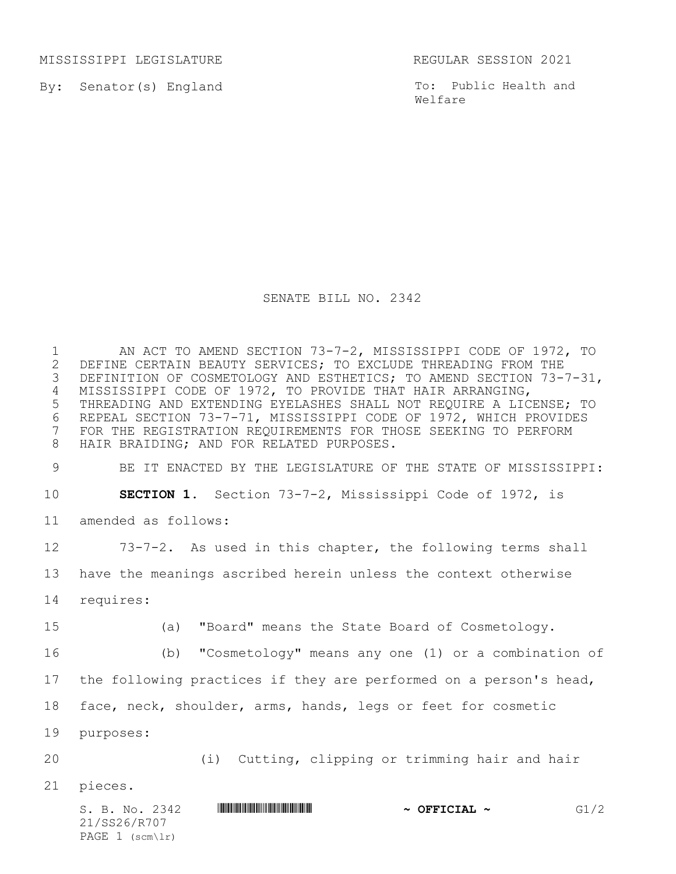MISSISSIPPI LEGISLATURE REGULAR SESSION 2021

By: Senator(s) England

To: Public Health and Welfare

## SENATE BILL NO. 2342

 AN ACT TO AMEND SECTION 73-7-2, MISSISSIPPI CODE OF 1972, TO 2 DEFINE CERTAIN BEAUTY SERVICES; TO EXCLUDE THREADING FROM THE<br>3 DEFINITION OF COSMETOLOGY AND ESTHETICS; TO AMEND SECTION 73-7 DEFINITION OF COSMETOLOGY AND ESTHETICS; TO AMEND SECTION 73-7-31, MISSISSIPPI CODE OF 1972, TO PROVIDE THAT HAIR ARRANGING, THREADING AND EXTENDING EYELASHES SHALL NOT REQUIRE A LICENSE; TO 6 REPEAL SECTION 73-7-71, MISSISSIPPI CODE OF 1972, WHICH PROVIDES<br>7 FOR THE REGISTRATION REQUIREMENTS FOR THOSE SEEKING TO PERFORM FOR THE REGISTRATION REQUIREMENTS FOR THOSE SEEKING TO PERFORM HAIR BRAIDING; AND FOR RELATED PURPOSES.

BE IT ENACTED BY THE LEGISLATURE OF THE STATE OF MISSISSIPPI:

**SECTION 1.** Section 73-7-2, Mississippi Code of 1972, is

amended as follows:

 73-7-2. As used in this chapter, the following terms shall have the meanings ascribed herein unless the context otherwise

requires:

(a) "Board" means the State Board of Cosmetology.

(b) "Cosmetology" means any one (1) or a combination of

the following practices if they are performed on a person's head,

face, neck, shoulder, arms, hands, legs or feet for cosmetic

purposes:

(i) Cutting, clipping or trimming hair and hair

pieces.

S. B. No. 2342 **\$SPARE FIGHT ASSAULT ASSAULT ASSAULT ~ OFFICIAL ~**  $GI/2$ 21/SS26/R707 PAGE (scm\lr)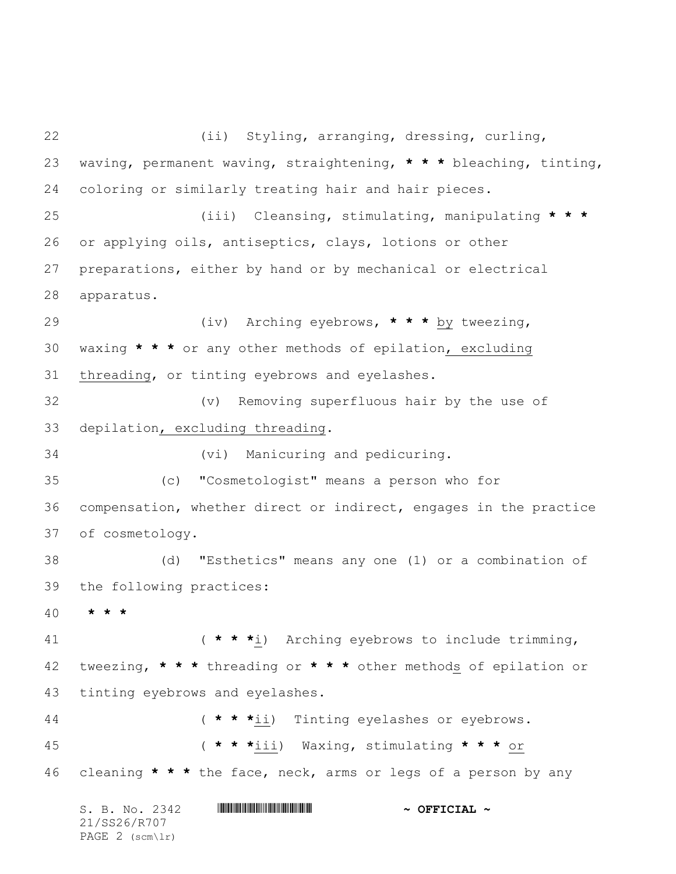S. B. No. 2342 **\*\*\* A SEPTICIAL ~** OFFICIAL ~ 21/SS26/R707 (ii) Styling, arranging, dressing, curling, waving, permanent waving, straightening, **\* \* \*** bleaching, tinting, coloring or similarly treating hair and hair pieces. (iii) Cleansing, stimulating, manipulating **\* \* \*** or applying oils, antiseptics, clays, lotions or other preparations, either by hand or by mechanical or electrical apparatus. (iv) Arching eyebrows, **\* \* \*** by tweezing, waxing **\* \* \*** or any other methods of epilation, excluding threading, or tinting eyebrows and eyelashes. (v) Removing superfluous hair by the use of depilation, excluding threading. (vi) Manicuring and pedicuring. (c) "Cosmetologist" means a person who for compensation, whether direct or indirect, engages in the practice of cosmetology. (d) "Esthetics" means any one (1) or a combination of the following practices: **\* \* \*** ( **\* \* \***i) Arching eyebrows to include trimming, tweezing, **\* \* \*** threading or **\* \* \*** other methods of epilation or tinting eyebrows and eyelashes. ( **\* \* \***ii) Tinting eyelashes or eyebrows. ( **\* \* \***iii) Waxing, stimulating **\* \* \*** or cleaning **\* \* \*** the face, neck, arms or legs of a person by any

PAGE 2 (scm\lr)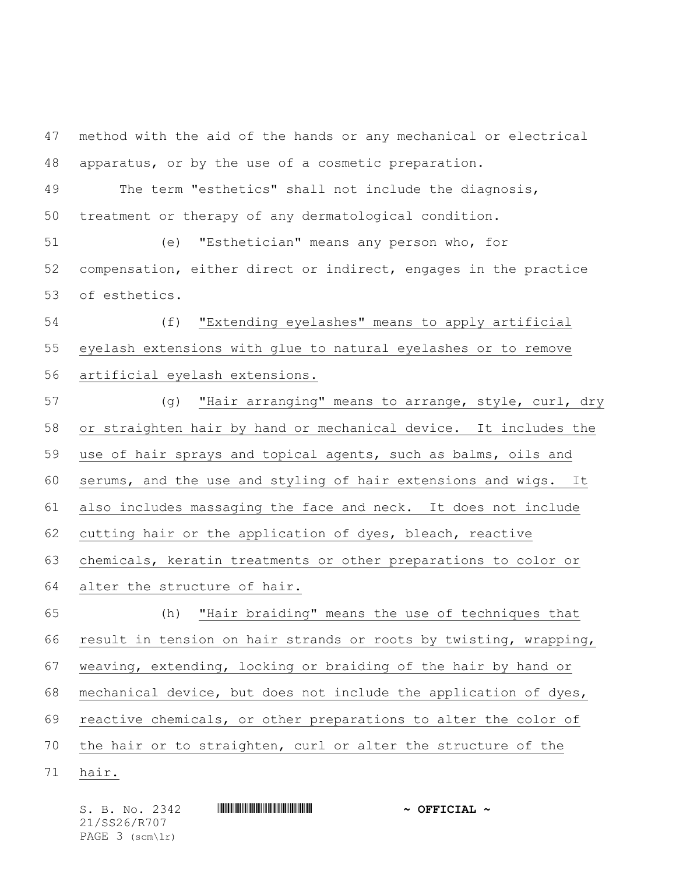method with the aid of the hands or any mechanical or electrical apparatus, or by the use of a cosmetic preparation. The term "esthetics" shall not include the diagnosis, treatment or therapy of any dermatological condition. (e) "Esthetician" means any person who, for compensation, either direct or indirect, engages in the practice of esthetics. (f) "Extending eyelashes" means to apply artificial eyelash extensions with glue to natural eyelashes or to remove artificial eyelash extensions. (g) "Hair arranging" means to arrange, style, curl, dry or straighten hair by hand or mechanical device. It includes the use of hair sprays and topical agents, such as balms, oils and serums, and the use and styling of hair extensions and wigs. It also includes massaging the face and neck. It does not include cutting hair or the application of dyes, bleach, reactive chemicals, keratin treatments or other preparations to color or alter the structure of hair. (h) "Hair braiding" means the use of techniques that result in tension on hair strands or roots by twisting, wrapping, weaving, extending, locking or braiding of the hair by hand or mechanical device, but does not include the application of dyes, reactive chemicals, or other preparations to alter the color of the hair or to straighten, curl or alter the structure of the hair.

S. B. No. 2342 **\*\*\* A SEPTICIAL ~** OFFICIAL ~ 21/SS26/R707 PAGE 3 (scm\lr)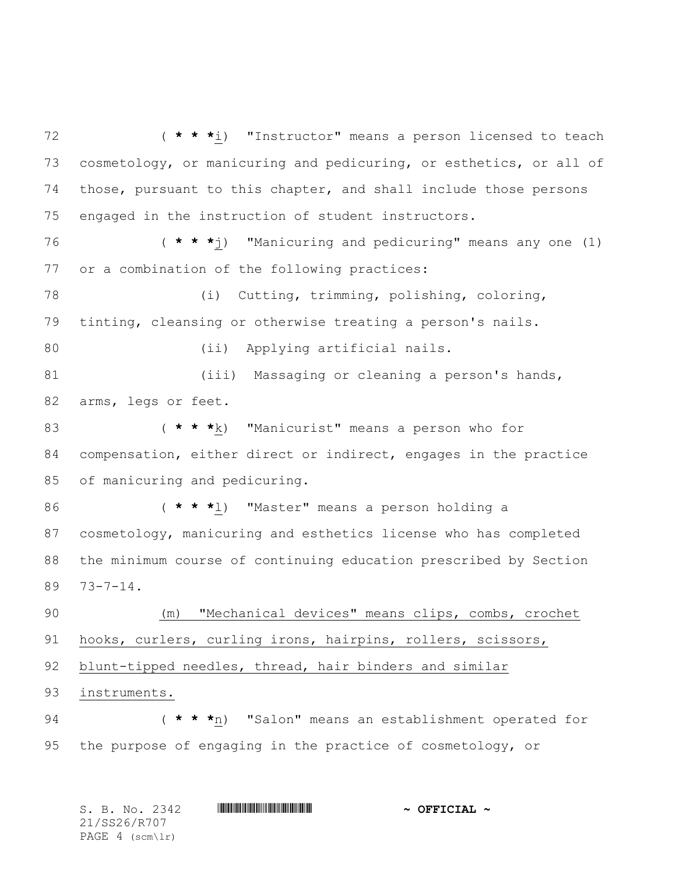( **\* \* \***i) "Instructor" means a person licensed to teach cosmetology, or manicuring and pedicuring, or esthetics, or all of those, pursuant to this chapter, and shall include those persons engaged in the instruction of student instructors. ( **\* \* \***j) "Manicuring and pedicuring" means any one (1) or a combination of the following practices: (i) Cutting, trimming, polishing, coloring, tinting, cleansing or otherwise treating a person's nails. (ii) Applying artificial nails. 81 (iii) Massaging or cleaning a person's hands, arms, legs or feet. ( **\* \* \***k) "Manicurist" means a person who for compensation, either direct or indirect, engages in the practice of manicuring and pedicuring. ( **\* \* \***l) "Master" means a person holding a cosmetology, manicuring and esthetics license who has completed the minimum course of continuing education prescribed by Section 73-7-14. (m) "Mechanical devices" means clips, combs, crochet hooks, curlers, curling irons, hairpins, rollers, scissors, blunt-tipped needles, thread, hair binders and similar instruments. ( **\* \* \***n) "Salon" means an establishment operated for the purpose of engaging in the practice of cosmetology, or

| S. B. No. 2342    | $\sim$ OFFICIAL $\sim$ |
|-------------------|------------------------|
| 21/SS26/R707      |                        |
| PAGE $4$ (scm\lr) |                        |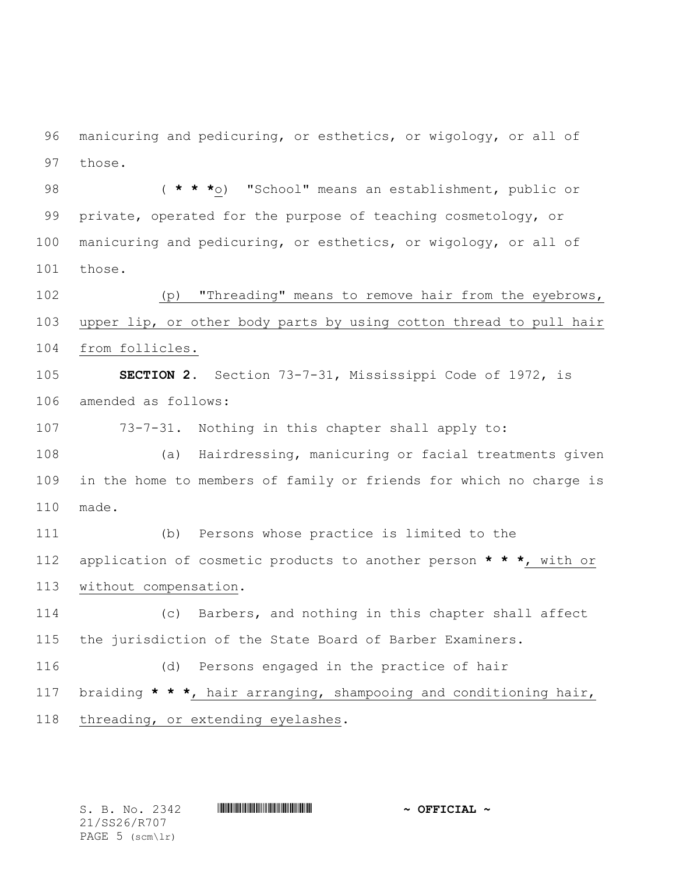manicuring and pedicuring, or esthetics, or wigology, or all of those.

 ( **\* \* \***o) "School" means an establishment, public or private, operated for the purpose of teaching cosmetology, or manicuring and pedicuring, or esthetics, or wigology, or all of those.

 (p) "Threading" means to remove hair from the eyebrows, upper lip, or other body parts by using cotton thread to pull hair from follicles.

 **SECTION 2.** Section 73-7-31, Mississippi Code of 1972, is amended as follows:

73-7-31. Nothing in this chapter shall apply to:

 (a) Hairdressing, manicuring or facial treatments given in the home to members of family or friends for which no charge is made.

 (b) Persons whose practice is limited to the application of cosmetic products to another person **\* \* \***, with or without compensation.

 (c) Barbers, and nothing in this chapter shall affect the jurisdiction of the State Board of Barber Examiners.

 (d) Persons engaged in the practice of hair braiding **\* \* \***, hair arranging, shampooing and conditioning hair, threading, or extending eyelashes.

21/SS26/R707 PAGE 5 (scm\lr)

S. B. No. 2342 **\*\*\* A SEPTIME A SEPTICIAL ~**